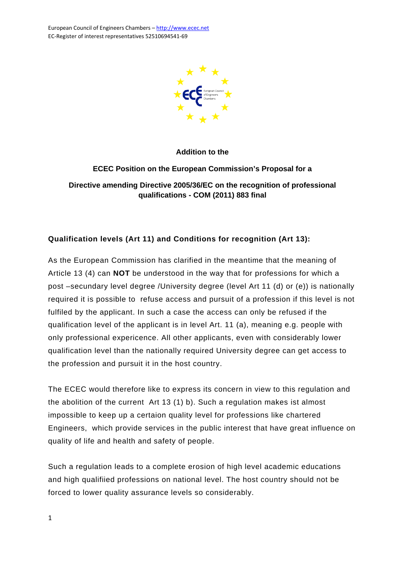

**Addition to the** 

**ECEC Position on the European Commission's Proposal for a Directive amending Directive 2005/36/EC on the recognition of professional qualifications - COM (2011) 883 final** 

## **Qualification levels (Art 11) and Conditions for recognition (Art 13):**

As the European Commission has clarified in the meantime that the meaning of Article 13 (4) can **NOT** be understood in the way that for professions for which a post –secundary level degree /University degree (level Art 11 (d) or (e)) is nationally required it is possible to refuse access and pursuit of a profession if this level is not fulfiled by the applicant. In such a case the access can only be refused if the qualification level of the applicant is in level Art. 11 (a), meaning e.g. people with only professional expericence. All other applicants, even with considerably lower qualification level than the nationally required University degree can get access to the profession and pursuit it in the host country.

The ECEC would therefore like to express its concern in view to this regulation and the abolition of the current Art 13 (1) b). Such a regulation makes ist almost impossible to keep up a certaion quality level for professions like chartered Engineers, which provide services in the public interest that have great influence on quality of life and health and safety of people.

Such a regulation leads to a complete erosion of high level academic educations and high qualifiied professions on national level. The host country should not be forced to lower quality assurance levels so considerably.